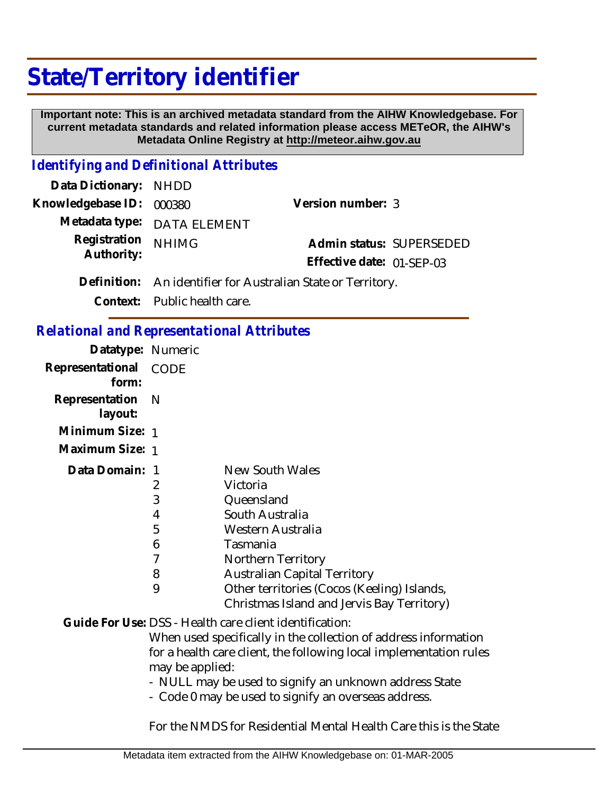## **State/Territory identifier**

 **Important note: This is an archived metadata standard from the AIHW Knowledgebase. For current metadata standards and related information please access METeOR, the AIHW's Metadata Online Registry at http://meteor.aihw.gov.au**

## *Identifying and Definitional Attributes*

| Data Dictionary: NHDD    |                                                              |                           |  |
|--------------------------|--------------------------------------------------------------|---------------------------|--|
| Knowledgebase ID: 000380 |                                                              | Version number: 3         |  |
|                          | Metadata type: DATA ELEMENT                                  |                           |  |
| Registration             | <b>NHIMG</b>                                                 | Admin status: SUPERSEDED  |  |
| Authority:               |                                                              | Effective date: 01-SEP-03 |  |
|                          | Definition: An identifier for Australian State or Territory. |                           |  |
|                          | Context: Public health care.                                 |                           |  |

## *Relational and Representational Attributes*

| Datatype: Numeric     |                                             |
|-----------------------|---------------------------------------------|
| Representational CODE |                                             |
| Representation N      |                                             |
| Minimum Size: 1       |                                             |
| Maximum Size: 1       |                                             |
| Data Domain: 1        | New South Wales                             |
| 2                     | Victoria                                    |
| 3                     | Queensland                                  |
| 4                     | South Australia                             |
| 5                     | Western Australia                           |
| 6                     | Tasmania                                    |
| 7                     | Northern Territory                          |
| 8                     | <b>Australian Capital Territory</b>         |
| 9                     | Other territories (Cocos (Keeling) Islands, |
|                       | Christmas Island and Jervis Bay Territory)  |
|                       |                                             |

Guide For Use: DSS - Health care client identification:

When used specifically in the collection of address information for a health care client, the following local implementation rules may be applied:

- NULL may be used to signify an unknown address State

- Code 0 may be used to signify an overseas address.

For the NMDS for Residential Mental Health Care this is the State